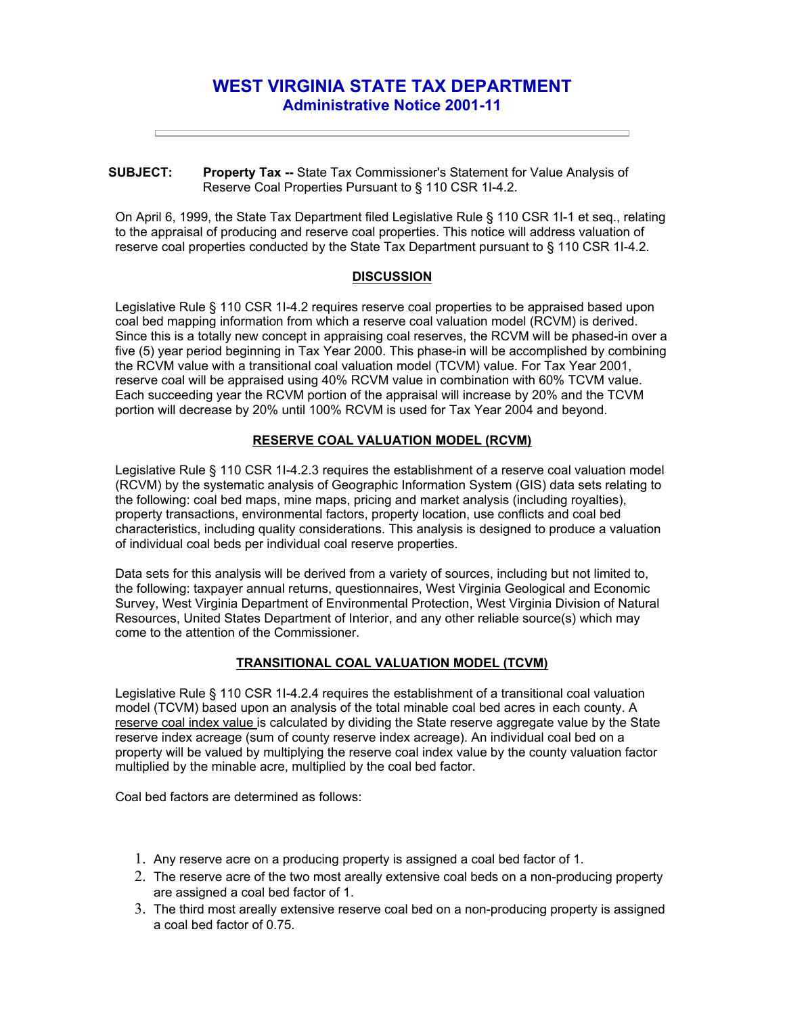# **WEST VIRGINIA STATE TAX DEPARTMENT Administrative Notice 2001-11**

### **SUBJECT: Property Tax --** State Tax Commissioner's Statement for Value Analysis of Reserve Coal Properties Pursuant to § 110 CSR 1I-4.2.

On April 6, 1999, the State Tax Department filed Legislative Rule § 110 CSR 1I-1 et seq., relating to the appraisal of producing and reserve coal properties. This notice will address valuation of reserve coal properties conducted by the State Tax Department pursuant to § 110 CSR 1I-4.2.

## **DISCUSSION**

Legislative Rule § 110 CSR 1I-4.2 requires reserve coal properties to be appraised based upon coal bed mapping information from which a reserve coal valuation model (RCVM) is derived. Since this is a totally new concept in appraising coal reserves, the RCVM will be phased-in over a five (5) year period beginning in Tax Year 2000. This phase-in will be accomplished by combining the RCVM value with a transitional coal valuation model (TCVM) value. For Tax Year 2001, reserve coal will be appraised using 40% RCVM value in combination with 60% TCVM value. Each succeeding year the RCVM portion of the appraisal will increase by 20% and the TCVM portion will decrease by 20% until 100% RCVM is used for Tax Year 2004 and beyond.

## **RESERVE COAL VALUATION MODEL (RCVM)**

Legislative Rule § 110 CSR 1I-4.2.3 requires the establishment of a reserve coal valuation model (RCVM) by the systematic analysis of Geographic Information System (GIS) data sets relating to the following: coal bed maps, mine maps, pricing and market analysis (including royalties), property transactions, environmental factors, property location, use conflicts and coal bed characteristics, including quality considerations. This analysis is designed to produce a valuation of individual coal beds per individual coal reserve properties.

Data sets for this analysis will be derived from a variety of sources, including but not limited to, the following: taxpayer annual returns, questionnaires, West Virginia Geological and Economic Survey, West Virginia Department of Environmental Protection, West Virginia Division of Natural Resources, United States Department of Interior, and any other reliable source(s) which may come to the attention of the Commissioner.

## **TRANSITIONAL COAL VALUATION MODEL (TCVM)**

Legislative Rule § 110 CSR 1I-4.2.4 requires the establishment of a transitional coal valuation model (TCVM) based upon an analysis of the total minable coal bed acres in each county. A reserve coal index value is calculated by dividing the State reserve aggregate value by the State reserve index acreage (sum of county reserve index acreage). An individual coal bed on a property will be valued by multiplying the reserve coal index value by the county valuation factor multiplied by the minable acre, multiplied by the coal bed factor.

Coal bed factors are determined as follows:

- 1. Any reserve acre on a producing property is assigned a coal bed factor of 1.
- 2. The reserve acre of the two most areally extensive coal beds on a non-producing property are assigned a coal bed factor of 1.
- 3. The third most areally extensive reserve coal bed on a non-producing property is assigned a coal bed factor of 0.75.